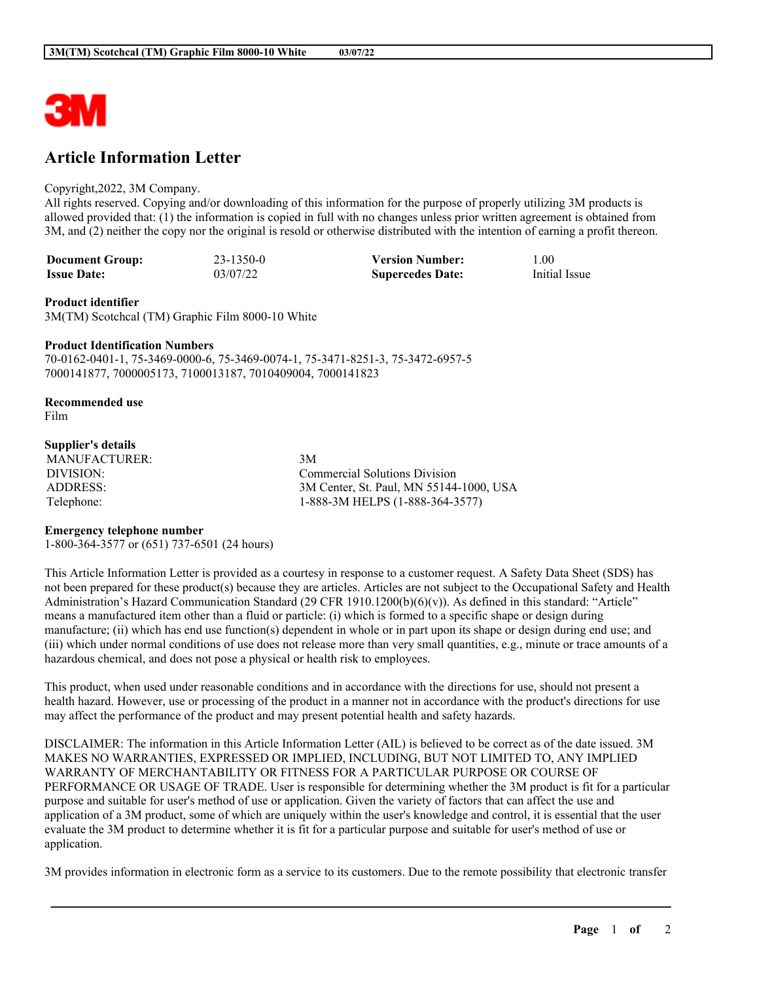

# **Article Information Letter**

#### Copyright,2022, 3M Company.

All rights reserved. Copying and/or downloading of this information for the purpose of properly utilizing 3M products is allowed provided that: (1) the information is copied in full with no changes unless prior written agreement is obtained from 3M, and (2) neither the copy nor the original is resold or otherwise distributed with the intention of earning a profit thereon.

| <b>Document Group:</b> | $23 - 1350 - 0$ | <b>Version Number:</b>  | $\pm 00$      |
|------------------------|-----------------|-------------------------|---------------|
| <b>Issue Date:</b>     | 03/07/22        | <b>Supercedes Date:</b> | Initial Issue |

#### **Product identifier**

3M(TM) Scotchcal (TM) Graphic Film 8000-10 White

### **Product Identification Numbers**

70-0162-0401-1, 75-3469-0000-6, 75-3469-0074-1, 75-3471-8251-3, 75-3472-6957-5 7000141877, 7000005173, 7100013187, 7010409004, 7000141823

## **Recommended use**

Film

### **Supplier's details**

MANUFACTURER: 3M

DIVISION: Commercial Solutions Division ADDRESS: 3M Center, St. Paul, MN 55144-1000, USA Telephone: 1-888-3M HELPS (1-888-364-3577)

## **Emergency telephone number**

1-800-364-3577 or (651) 737-6501 (24 hours)

This Article Information Letter is provided as a courtesy in response to a customer request. A Safety Data Sheet (SDS) has not been prepared for these product(s) because they are articles. Articles are not subject to the Occupational Safety and Health Administration's Hazard Communication Standard (29 CFR 1910.1200(b)(6)(v)). As defined in this standard: "Article" means a manufactured item other than a fluid or particle: (i) which is formed to a specific shape or design during manufacture; (ii) which has end use function(s) dependent in whole or in part upon its shape or design during end use; and (iii) which under normal conditions of use does not release more than very small quantities, e.g., minute or trace amounts of a hazardous chemical, and does not pose a physical or health risk to employees.

This product, when used under reasonable conditions and in accordance with the directions for use, should not present a health hazard. However, use or processing of the product in a manner not in accordance with the product's directions for use may affect the performance of the product and may present potential health and safety hazards.

DISCLAIMER: The information in this Article Information Letter (AIL) is believed to be correct as of the date issued. 3M MAKES NO WARRANTIES, EXPRESSED OR IMPLIED, INCLUDING, BUT NOT LIMITED TO, ANY IMPLIED WARRANTY OF MERCHANTABILITY OR FITNESS FOR A PARTICULAR PURPOSE OR COURSE OF PERFORMANCE OR USAGE OF TRADE. User is responsible for determining whether the 3M product is fit for a particular purpose and suitable for user's method of use or application. Given the variety of factors that can affect the use and application of a 3M product, some of which are uniquely within the user's knowledge and control, it is essential that the user evaluate the 3M product to determine whether it is fit for a particular purpose and suitable for user's method of use or application.

3M provides information in electronic form as a service to its customers. Due to the remote possibility that electronic transfer

\_\_\_\_\_\_\_\_\_\_\_\_\_\_\_\_\_\_\_\_\_\_\_\_\_\_\_\_\_\_\_\_\_\_\_\_\_\_\_\_\_\_\_\_\_\_\_\_\_\_\_\_\_\_\_\_\_\_\_\_\_\_\_\_\_\_\_\_\_\_\_\_\_\_\_\_\_\_\_\_\_\_\_\_\_\_\_\_\_\_